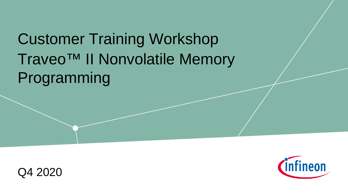# Traveo™ II Nonvolatile Memory Programming Customer Training Workshop



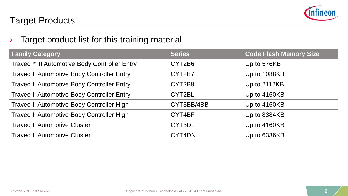

### Target Products

### $\rightarrow$  Target product list for this training material

| <b>Family Category</b>                                  | <b>Series</b> | <b>Code Flash Memory Size</b> |
|---------------------------------------------------------|---------------|-------------------------------|
| Traveo <sup>™</sup> Il Automotive Body Controller Entry | CYT2B6        | Up to 576KB                   |
| <b>Traveo II Automotive Body Controller Entry</b>       | CYT2B7        | Up to 1088KB                  |
| <b>Traveo II Automotive Body Controller Entry</b>       | CYT2B9        | Up to 2112KB                  |
| Traveo II Automotive Body Controller Entry              | CYT2BL        | Up to 4160KB                  |
| Traveo II Automotive Body Controller High               | CYT3BB/4BB    | Up to 4160KB                  |
| Traveo II Automotive Body Controller High               | CYT4BF        | Up to 8384KB                  |
| <b>Traveo II Automotive Cluster</b>                     | CYT3DL        | Up to 4160KB                  |
| <b>Traveo II Automotive Cluster</b>                     | CYT4DN        | Up to 6336KB                  |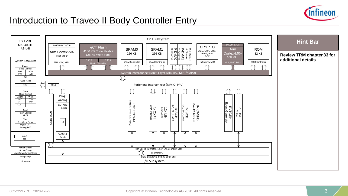

### Introduction to Traveo II Body Controller Entry

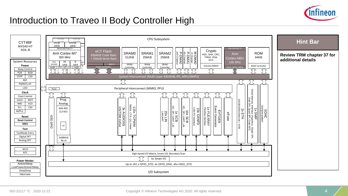

### Introduction to Traveo II Body Controller High

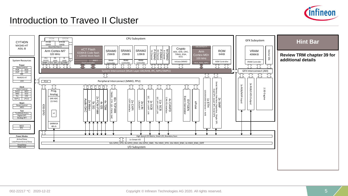

### Introduction to Traveo II Cluster

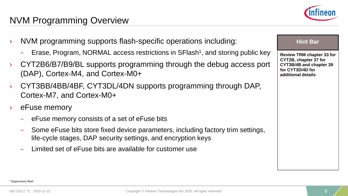### NVM Programming Overview

(DAP), Cortex-M4, and Cortex-M0+

Cortex-M7, and Cortex-M0+

eFuse memory



### **Hint Bar**

**Review TRM chapter 33 for CYT2B, chapter 37 for CYT3B/4B and chapter 39 for CYT3D/4D for additional details**

002-22217 \*C 2020-12-22 **Copyright © Infineon Technologies AG 2020.** All rights reserved.

– eFuse memory consists of a set of eFuse bits – Some eFuse bits store fixed device parameters, including factory trim settings, life-cycle stages, DAP security settings, and encryption keys

– Limited set of eFuse bits are available for customer use

› NVM programming supports flash-specific operations including:

– Erase, Program, NORMAL access restrictions in SFlash1, and storing public key

› CYT2B6/B7/B9/BL supports programming through the debug access port

› CYT3BB/4BB/4BF, CYT3DL/4DN supports programming through DAP,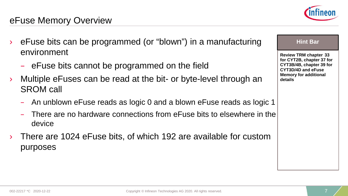- eFuse bits can be programmed (or "blown") in a manufacturing environment
	- eFuse bits cannot be programmed on the field
- Multiple eFuses can be read at the bit- or byte-level through an SROM call
	- An unblown eFuse reads as logic 0 and a blown eFuse reads as logic 1
	- There are no hardware connections from eFuse bits to elsewhere in the device
- There are 1024 eFuse bits, of which 192 are available for custom purposes



#### **Hint Bar**

**Review TRM chapter 33 for CYT2B, chapter 37 for CYT3B/4B, chapter 39 for CYT3D/4D and eFuse Memory for additional details**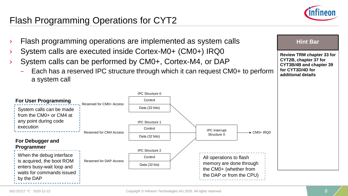

### Flash Programming Operations for CYT2

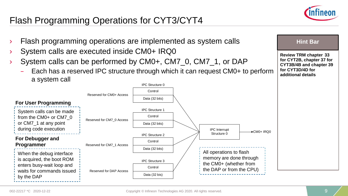### Flash Programming Operations for CYT3/CYT4



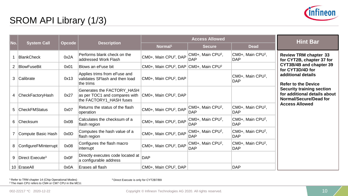

## SROM API Library (1/3)

|     |                             |        |                                                                                                                          |                                                               | <b>Access Allowed</b>                       |                                             | <b>Hint Bar</b>                                                                            |
|-----|-----------------------------|--------|--------------------------------------------------------------------------------------------------------------------------|---------------------------------------------------------------|---------------------------------------------|---------------------------------------------|--------------------------------------------------------------------------------------------|
| No. | <b>System Call</b>          | Opcode | <b>Description</b>                                                                                                       | Normal <sup>1</sup>                                           | <b>Secure</b>                               | <b>Dead</b>                                 |                                                                                            |
|     | <b>BlankCheck</b>           | 0x2A   | Performs blank check on the<br>addressed Work Flash                                                                      | CM0+, Main CPU <sup>2</sup> , DAP                             | CM0+, Main CPU <sup>2</sup> ,<br><b>DAP</b> | CM0+, Main CPU <sup>2</sup> ,<br><b>DAP</b> | <b>Review TRM chapter 33</b><br>for CYT2B, chapter 37 for                                  |
| 2   | BlowFuseBit                 | 0x01   | Blows an eFuse bit                                                                                                       | CM0+, Main CPU <sup>2</sup> , DAP CM0+, Main CPU <sup>2</sup> |                                             |                                             | CYT3B/4B and chapter 39<br>for CYT3D/4D for                                                |
| 3   | Calibrate                   | 0x13   | Applies trims from eFuse and<br>validates SFlash and then load<br>the trims                                              | CM0+, Main CPU <sup>2</sup> , DAP                             |                                             | CM0+, Main CPU <sup>2</sup> ,<br><b>DAP</b> | additional details<br><b>Refer to the Device</b>                                           |
| 4   | CheckFactoryHash            | 0x27   | Generates the FACTORY HASH<br>as per TOC1 and compares with CM0+, Main CPU <sup>2</sup> , DAP<br>the FACTORY1_HASH fuses |                                                               |                                             |                                             | <b>Security training section</b><br>for additional details about<br>Normal/Secure/Dead for |
| 5   | <b>CheckFMStatus</b>        | 0x07   | Returns the status of the flash<br>operation                                                                             | CM0+, Main CPU <sup>2</sup> , DAP                             | CM0+, Main CPU <sup>2</sup> ,<br><b>DAP</b> | CM0+, Main CPU <sup>2</sup> ,<br><b>DAP</b> | <b>Access Allowed</b>                                                                      |
| 6   | <b>Checksum</b>             | 0x0B   | Calculates the checksum of a<br>flash region                                                                             | CM0+, Main CPU <sup>2</sup> , DAP                             | CM0+, Main CPU <sup>2</sup> ,<br><b>DAP</b> | CM0+, Main CPU <sup>2</sup> ,<br><b>DAP</b> |                                                                                            |
|     | Compute Basic Hash          | 0x0D   | Computes the hash value of a<br>flash region                                                                             | CM0+, Main CPU <sup>2</sup> , DAP                             | CM0+, Main CPU <sup>2</sup> ,<br><b>DAP</b> | CM0+, Main CPU <sup>2</sup> ,<br><b>DAP</b> |                                                                                            |
| 8   | ConfigureFMInterrupt        | 0x08   | Configures the flash macro<br>interrupt                                                                                  | CM0+, Main CPU2, DAP                                          | CM0+, Main CPU <sup>2</sup> ,<br>DAP        | CM0+, Main CPU <sup>2</sup> ,<br><b>DAP</b> |                                                                                            |
| 9   | Direct Execute <sup>3</sup> | 0x0F   | Directly executes code located at<br>a configurable address                                                              | DAP                                                           |                                             |                                             |                                                                                            |
|     | 10 EraseAll                 | 0x0A   | Erases all flash                                                                                                         | CM0+, Main CPU <sup>2</sup> , DAP                             |                                             | <b>DAP</b>                                  |                                                                                            |

1 Refer to TRM chapter 14 (Chip Operational Modes) 2 The main CPU refers to CM4 or CM7 CPU in the MCU. 3 Direct Execute is only for CYT2B7/B9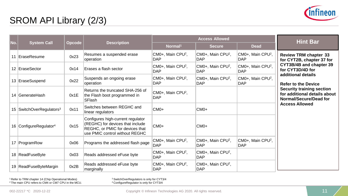

## SROM API Library (2/3)

|     |                                      |        |                                                                                                                                            |                                             | <b>Access Allowed</b>                       |                                             | <b>Hint Bar</b>                                                                     |
|-----|--------------------------------------|--------|--------------------------------------------------------------------------------------------------------------------------------------------|---------------------------------------------|---------------------------------------------|---------------------------------------------|-------------------------------------------------------------------------------------|
| No. | <b>System Call</b>                   | Opcode | <b>Description</b>                                                                                                                         | Normal <sup>1</sup>                         | <b>Secure</b>                               | <b>Dead</b>                                 |                                                                                     |
| 11  | EraseResume                          | 0x23   | Resumes a suspended erase<br>operation                                                                                                     | CM0+, Main CPU <sup>2</sup> ,<br><b>DAP</b> | CM0+, Main CPU <sup>2</sup> ,<br><b>DAP</b> | CM0+, Main CPU <sup>2</sup> ,<br><b>DAP</b> | <b>Review TRM chapter 33</b><br>for CYT2B, chapter 37 for                           |
|     | 12 EraseSector                       | 0x14   | Erases a flash sector                                                                                                                      | CM0+, Main CPU <sup>2</sup> ,<br><b>DAP</b> | CM0+, Main CPU <sup>2</sup> ,<br><b>DAP</b> | CM0+, Main CPU <sup>2</sup> ,<br><b>DAP</b> | CYT3B/4B and chapter 39<br>for CYT3D/4D for<br>additional details                   |
|     | 13 EraseSuspend                      | 0x22   | Suspends an ongoing erase<br>operation                                                                                                     | CM0+, Main CPU <sup>2</sup> ,<br><b>DAP</b> | CM0+, Main CPU <sup>2</sup> ,<br><b>DAP</b> | CM0+, Main CPU <sup>2</sup> ,<br><b>DAP</b> | <b>Refer to the Device</b>                                                          |
|     | 14 GenerateHash                      | 0x1E   | Returns the truncated SHA-256 of<br>the Flash boot programmed in<br><b>SFlash</b>                                                          | CM0+, Main CPU <sup>2</sup> ,<br><b>DAP</b> |                                             |                                             | Security training section<br>for additional details about<br>Normal/Secure/Dead for |
|     | 15 SwitchOverRegulators <sup>3</sup> | 0x11   | Switches between REGHC and<br>linear regulators                                                                                            | $CMO+$                                      | CM <sub>0+</sub>                            |                                             | <b>Access Allowed</b>                                                               |
|     | 16 ConfigureRegulator <sup>4</sup>   | 0x15   | Configures high-current regulator<br>(REGHC) for devices that include<br>REGHC, or PMIC for devices that<br>use PMIC control without REGHC | $CMO+$                                      | $CMO+$                                      |                                             |                                                                                     |
|     | 17 ProgramRow                        | 0x06   | Programs the addressed flash page                                                                                                          | CM0+, Main CPU <sup>2</sup> ,<br><b>DAP</b> | CM0+, Main CPU <sup>2</sup> ,<br><b>DAP</b> | CM0+, Main CPU <sup>2</sup> ,<br><b>DAP</b> |                                                                                     |
|     | 18 ReadFuseByte                      | 0x03   | Reads addressed eFuse byte                                                                                                                 | CM0+, Main CPU <sup>2</sup> ,<br><b>DAP</b> | CM0+, Main CPU <sup>2</sup> ,<br><b>DAP</b> |                                             |                                                                                     |
|     | 19 ReadFuseByteMargin                | 0x2B   | Reads addressed eFuse byte<br>marginally                                                                                                   | CM0+, Main CPU <sup>2</sup> ,<br><b>DAP</b> | CM0+, Main CPU <sup>2</sup> ,<br><b>DAP</b> |                                             |                                                                                     |

1 Refer to TRM chapter 14 (Chip Operational Modes) 2 The main CPU refers to CM4 or CM7 CPU in the MCU.

<sup>3</sup> SwitchOverRegulators is only for CYT3/4<br><sup>4</sup> ConfigureRegulator is only for CYT3/4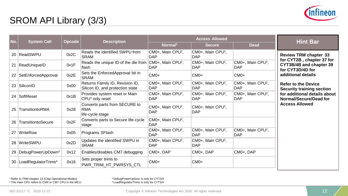

## SROM API Library (3/3)

| No. | <b>System Call</b>                     | <b>Opcode</b> | <b>Description</b>                                                         |                                             | <b>Access Allowed</b>                       |                                             | <b>Hint Bar</b>                                                          |
|-----|----------------------------------------|---------------|----------------------------------------------------------------------------|---------------------------------------------|---------------------------------------------|---------------------------------------------|--------------------------------------------------------------------------|
|     |                                        |               |                                                                            | Normal <sup>1</sup>                         | <b>Secure</b>                               | <b>Dead</b>                                 |                                                                          |
|     | 20   ReadSWPU                          | 0x2C          | Reads the identified SWPU from<br><b>SRAM</b>                              | CM0+, Main CPU <sup>2</sup> ,<br><b>DAP</b> | CM0+, Main CPU <sup>2</sup> ,<br>DAP        |                                             | <b>Review TRM chapter 33</b>                                             |
| 21  | ReadUniqueID                           | 0x1F          | Reads the unique ID of the die from CM0+, Main CPU <sup>2</sup> ,<br>flash | <b>DAP</b>                                  | CM0+, Main CPU <sup>2</sup> ,<br><b>DAP</b> | CM0+, Main CPU <sup>2</sup> ,<br><b>DAP</b> | for CYT2B, chapter 37 for<br>CYT3B/4B and chapter 39<br>for CYT3D/4D for |
| 22  | SetEnforcedApproval                    | 0x2E          | Sets the EnforcedApproval bit in<br><b>SRAM</b>                            | CM <sub>0+</sub>                            | CM <sub>0+</sub>                            | $CMO+$                                      | additional details                                                       |
|     | 23 SiliconID                           | 0x00          | Returns Family ID, Revision ID,<br>Silicon ID, and protection state        | CM0+, Main CPU <sup>2</sup> ,<br><b>DAP</b> | CM0+, Main CPU <sup>2</sup> ,<br>DAP        | CM0+, Main CPU <sup>2</sup> ,<br><b>DAP</b> | <b>Refer to the Device</b><br><b>Security training section</b>           |
| 24  | SoftReset                              | 0x1B          | Provides system reset or Main<br>CPU <sup>2</sup> only reset               | CM0+, Main CPU <sup>2</sup> ,<br><b>DAP</b> | CM0+, Main CPU <sup>2</sup> ,<br><b>DAP</b> | CM0+, Main CPU <sup>2</sup> ,<br><b>DAP</b> | for additional details about<br>Normal/Secure/Dead for                   |
| 25  | TransitiontoRMA                        | 0x28          | Converts parts from SECURE to<br><b>RMA</b><br>life-cycle stage            | CM0+, Main CPU <sup>2</sup> ,<br><b>DAP</b> | CM0+, Main CPU <sup>2</sup> ,<br>DAP        |                                             | <b>Access Allowed</b>                                                    |
| 26  | TransitiontoSecure                     | 0x2F          | Converts parts to Secure life-cycle<br>stage                               | CM0+, Main CPU <sup>2</sup> ,<br><b>DAP</b> |                                             |                                             |                                                                          |
| 27  | <b>WriteRow</b>                        | 0x05          | Programs SFlash                                                            | CM0+, Main CPU <sup>2</sup> ,<br><b>DAP</b> | CM0+, Main CPU <sup>2</sup> ,<br>DAP        | CM0+, Main CPU <sup>2</sup> ,<br><b>DAP</b> |                                                                          |
|     | 28 WriteSWPU                           | 0x2D          | Updates the identified SWPU in<br><b>SRAM</b>                              | CM0+, Main CPU <sup>2</sup> ,<br><b>DAP</b> | CM0+, Main CPU <sup>2</sup> ,<br>DAP        |                                             |                                                                          |
| 29  | DebugPowerUpDown <sup>3</sup>          | 0x12          | Enables/disables CM7 debugging                                             | CM0+, DAP                                   | CM0+, DAP                                   | CM0+, DAP                                   |                                                                          |
|     | 30   Load Regulator Trims <sup>4</sup> | 0x16          | Sets proper trims to<br>PWR TRIM HT PWRSYS CTL                             | $CMO+$                                      | $CMO+$                                      |                                             |                                                                          |

1 Refer to TRM chapter 14 (Chip Operational Modes) 2 The main CPU refers to CM4 or CM7 CPU in the MCU.

<sup>3</sup> DebugPowerUpDow is only for CYT3/4<br><sup>4</sup> LoadRegulatorTrims is only for CYT3/4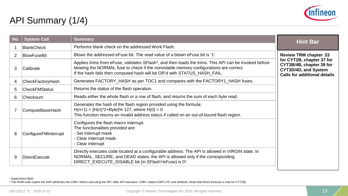

### API Summary (1/4)

| No. | <b>System Call</b>   | <b>Summary</b>                                                                                                                                                                                                                                                                           | <b>Hint Bar</b>                                                                                                      |
|-----|----------------------|------------------------------------------------------------------------------------------------------------------------------------------------------------------------------------------------------------------------------------------------------------------------------------------|----------------------------------------------------------------------------------------------------------------------|
|     | <b>BlankCheck</b>    | Performs blank check on the addressed Work Flash.                                                                                                                                                                                                                                        |                                                                                                                      |
| 2   | <b>BlowFuseBit</b>   | Blows the addressed eFuse bit. The read value of a blown eFuse bit is '1'.                                                                                                                                                                                                               | <b>Review TRM chapter 33</b>                                                                                         |
| 3   | Calibrate            | Applies trims from eFuse, validates SFlash <sup>1</sup> , and then loads the trims. This API can be invoked before<br>blowing the NORMAL fuse to check if the nonvolatile memory configurations are correct.<br>If the hash fails then computed hash will be OR'd with STATUS_HASH_FAIL. | for CYT2B, chapter 37 for<br>CYT3B/4B, chapter 39 for<br>CYT3D/4D, and System<br><b>Calls for additional details</b> |
| 4   | CheckFactoryHash     | Generates FACTORY_HASH as per TOC1 and compares with the FACTORY1_HASH fuses.                                                                                                                                                                                                            |                                                                                                                      |
| 5   | <b>CheckFMStatus</b> | Returns the status of the flash operation.                                                                                                                                                                                                                                               |                                                                                                                      |
| 6   | ∣Checksum            | Reads either the whole flash or a row of flash, and returns the sum of each byte read.                                                                                                                                                                                                   |                                                                                                                      |
|     | ComputeBasicHash     | Generates the hash of the flash region provided using the formula:<br>$H(n+1) = {H(n)*2+Byte}$ % 127; where $H(0) = 0$<br>This function returns an invalid address status if called on an out-of-bound flash region.                                                                     |                                                                                                                      |
| 8   | ConfigureFMInterrupt | Configures the flash macro interrupt.<br>The functionalities provided are:<br>- Set interrupt mask<br>- Clear interrupt mask<br>- Clear interrupt                                                                                                                                        |                                                                                                                      |
| 9   | DirectExecute        | Directly executes code located at a configurable address. The API is allowed in VIRGIN state. In<br>NORMAL, SECURE, and DEAD states, the API is allowed only if the corresponding<br>DIRECT EXECUTE DISABLE bit (in SFlash <sup>1</sup> /eFuse) is 0 <sup>2</sup> .                      |                                                                                                                      |

<sup>1</sup> Supervisory flash.

2.The ROM code copies the DAP attributes into CM0+ before executing the API. After API execution, CM0+ retains DAP's PC and attribute. (Note that Direct Execute is only for CYT2B).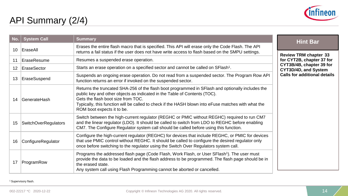

## API Summary (2/4)

| No. | <b>System Call</b>   | <b>Summary</b>                                                                                                                                                                                                                                                                                                                                           | <b>Hint Bar</b>                                  |
|-----|----------------------|----------------------------------------------------------------------------------------------------------------------------------------------------------------------------------------------------------------------------------------------------------------------------------------------------------------------------------------------------------|--------------------------------------------------|
| 10  | EraseAll             | Erases the entire flash macro that is specified. This API will erase only the Code Flash. The API<br>returns a fail status if the user does not have write access to flash based on the SMPU settings.                                                                                                                                                   | <b>Review TRM chapter 33</b>                     |
| 11  | EraseResume          | Resumes a suspended erase operation.                                                                                                                                                                                                                                                                                                                     | for CYT2B, chapter 37 for                        |
| 12  | EraseSector          | Starts an erase operation on a specified sector and cannot be called on SFlash <sup>1</sup> .                                                                                                                                                                                                                                                            | CYT3B/4B, chapter 39 for<br>CYT3D/4D, and System |
| 13  | EraseSuspend         | Suspends an ongoing erase operation. Do not read from a suspended sector. The Program Row API<br>function returns an error if invoked on the suspended sector.                                                                                                                                                                                           | <b>Calls for additional details</b>              |
| 14  | <b>GenerateHash</b>  | Returns the truncated SHA-256 of the flash boot programmed in SFlash and optionally includes the<br>public key and other objects as indicated in the Table of Contents (TOC).<br>Gets the flash boot size from TOC.<br>Typically, this function will be called to check if the HASH blown into eFuse matches with what the<br>ROM boot expects it to be. |                                                  |
| 15  | SwitchOverRegulators | Switch between the high-current regulator (REGHC or PMIC without REGHC) required to run CM7<br>and the linear regulator (LDO). It should be called to switch from LDO to REGHC before enabling<br>CM7. The Configure Regulator system call should be called before using this function.                                                                  |                                                  |
| 16  | ConfigureRegulator   | Configure the high-current regulator (REGHC) for devices that include REGHC, or PMIC for devices<br>that use PMIC control without REGHC. It should be called to configure the desired regulator only<br>once before switching to the regulator using the Switch Over Regulators system call.                                                             |                                                  |
| 17  | ProgramRow           | Programs the addressed flash page (Code Flash, Work Flash, or User SFlash <sup>1</sup> ). The user must<br>provide the data to be loaded and the flash address to be programmed. The flash page should be in<br>the erased state.<br>Any system call using Flash Programming cannot be aborted or cancelled.                                             |                                                  |

<sup>1</sup> Supervisory flash.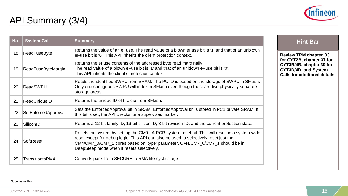

### API Summary (3/4)

| No. | <b>System Call</b>  | <b>Summary</b>                                                                                                                                                                                                                                                                                                          | Н                                                |
|-----|---------------------|-------------------------------------------------------------------------------------------------------------------------------------------------------------------------------------------------------------------------------------------------------------------------------------------------------------------------|--------------------------------------------------|
| 18  | ReadFuseByte        | Returns the value of an eFuse. The read value of a blown eFuse bit is '1' and that of an unblown<br>eFuse bit is '0'. This API inherits the client protection context.                                                                                                                                                  | <b>Review TF</b>                                 |
| 19  | ReadFuseByteMargin  | Returns the eFuse contents of the addressed byte read marginally.<br>The read value of a blown eFuse bit is '1' and that of an unblown eFuse bit is '0'.<br>This API inherits the client's protection context.                                                                                                          | for CYT2B<br>CYT3B/4B<br>CYT3D/4D<br>Calls for a |
| 20  | ReadSWPU            | Reads the identified SWPU from SRAM. The PU ID is based on the storage of SWPU in SFlash.<br>Only one contiguous SWPU will index in SFlash even though there are two physically separate<br>storage areas.                                                                                                              |                                                  |
| 21  | ReadUniqueID        | Returns the unique ID of the die from SFlash.                                                                                                                                                                                                                                                                           |                                                  |
| 22  | SetEnforcedApproval | Sets the EnforcedApproval bit in SRAM. EnforcedApproval bit is stored in PC1 private SRAM. If<br>this bit is set, the API checks for a supervised marker.                                                                                                                                                               |                                                  |
| 23  | SiliconID           | Returns a 12-bit family ID, 16-bit silicon ID, 8-bit revision ID, and the current protection state.                                                                                                                                                                                                                     |                                                  |
| 24  | SoftReset           | Resets the system by setting the CM0+ AIRCR system reset bit. This will result in a system-wide<br>reset except for debug logic. This API can also be used to selectively reset just the<br>CM4/CM7_0/CM7_1 cores based on 'type' parameter. CM4/CM7_0/CM7_1 should be in<br>DeepSleep mode when it resets selectively. |                                                  |
| 25  | TransitiontoRMA     | Converts parts from SECURE to RMA life-cycle stage.                                                                                                                                                                                                                                                                     |                                                  |

### **Hint Bar**

**RM chapter 33 for Cyter 37 for Chapter 39 for CYT3D/4D, and System Calls for additional details**

#### <sup>1</sup> Supervisory flash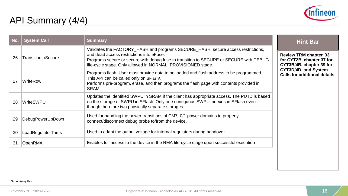

### API Summary (4/4)

| No. | <b>System Call</b> | <b>Summary</b>                                                                                                                                                                                                                                                                        | <b>Hint Bar</b>                                                                       |
|-----|--------------------|---------------------------------------------------------------------------------------------------------------------------------------------------------------------------------------------------------------------------------------------------------------------------------------|---------------------------------------------------------------------------------------|
| 26  | TransitiontoSecure | Validates the FACTORY HASH and programs SECURE HASH, secure access restrictions,<br>and dead access restrictions into eFuse.<br>Programs secure or secure with debug fuse to transition to SECURE or SECURE with DEBUG<br>life-cycle stage. Only allowed in NORMAL_PROVISIONED stage. | <b>Review TRM chapter 33</b><br>for CYT2B, chapter 37 for<br>CYT3B/4B, chapter 39 for |
| 27  | ∣WriteRow          | Programs flash. User must provide data to be loaded and flash address to be programmed.<br>This API can be called only on SFlash <sup>1</sup> .<br>Performs pre-program, erase, and then programs the flash page with contents provided in<br>SRAM.                                   | CYT3D/4D, and System<br><b>Calls for additional details</b>                           |
| 28  | ∣WriteSWPU         | Updates the identified SWPU in SRAM if the client has appropriate access. The PU ID is based<br>on the storage of SWPU in SFlash. Only one contiguous SWPU indexes in SFlash even<br>though there are two physically separate storages.                                               |                                                                                       |
| 29  | DebugPowerUpDown   | Used for handling the power transitions of CM7_0/1 power domains to properly<br>connect/disconnect debug probe to/from the device.                                                                                                                                                    |                                                                                       |
| 30  | LoadRegulatorTrims | Used to adapt the output voltage for internal regulators during handover.                                                                                                                                                                                                             |                                                                                       |
| -31 | OpenRMA            | Enables full access to the device in the RMA life-cycle stage upon successful execution                                                                                                                                                                                               |                                                                                       |

#### <sup>1</sup> Supervisory flash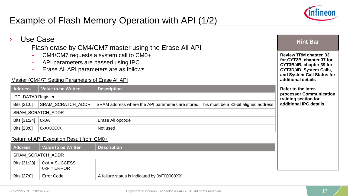

### Example of Flash Memory Operation with API (1/2)

| Use Case<br>$\lambda$<br>Flash erase by CM4/CM7 master using the Erase All API<br>Master (CM4/7) Setting Parameters of Erase All API | <b>Hint Bar</b><br><b>Review TRM chapter 33</b><br>for CYT2B, chapter 37 for<br>CYT3B/4B, chapter 39 for<br>CYT3D/4D, System Calls,<br>and System Call Status for<br>additional details |                                                                                         |                                                 |  |  |
|--------------------------------------------------------------------------------------------------------------------------------------|-----------------------------------------------------------------------------------------------------------------------------------------------------------------------------------------|-----------------------------------------------------------------------------------------|-------------------------------------------------|--|--|
| <b>Address</b>                                                                                                                       | <b>Value to be Written</b>                                                                                                                                                              | <b>Description</b>                                                                      | <b>Refer to the Inter-</b>                      |  |  |
| <b>IPC_DATA0 Register</b>                                                                                                            |                                                                                                                                                                                         |                                                                                         | processor Communication<br>training section for |  |  |
| Bits [31:0]                                                                                                                          | SRAM_SCRATCH_ADDR                                                                                                                                                                       | SRAM address where the API parameters are stored. This must be a 32-bit aligned address | additional IPC details                          |  |  |
|                                                                                                                                      | SRAM_SCRATCH_ADDR                                                                                                                                                                       |                                                                                         |                                                 |  |  |
| Bits [31:24]                                                                                                                         | 0x0A                                                                                                                                                                                    | Erase All opcode                                                                        |                                                 |  |  |
| Bits [23:0]                                                                                                                          | <b>OxXXXXXX</b>                                                                                                                                                                         | Not used                                                                                |                                                 |  |  |
|                                                                                                                                      | Return of API Execution Result from CM0+                                                                                                                                                |                                                                                         |                                                 |  |  |
| <b>Address</b>                                                                                                                       | <b>Value to be Written</b>                                                                                                                                                              | <b>Description</b>                                                                      |                                                 |  |  |
|                                                                                                                                      | SRAM_SCRATCH_ADDR                                                                                                                                                                       |                                                                                         |                                                 |  |  |
| Bits [31:28]                                                                                                                         | $0xA = SUCCESS$<br>$0xF = ERROR$                                                                                                                                                        |                                                                                         |                                                 |  |  |
| Bits [27:0]                                                                                                                          | <b>Error Code</b>                                                                                                                                                                       | A failure status is indicated by 0xF00000XX                                             |                                                 |  |  |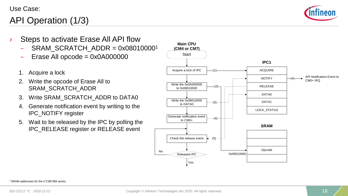### API Operation (1/3)



- Steps to activate Erase All API flow
	- SRAM\_SCRATCH\_ADDR =  $0x080100001$
	- Erase All opcode =  $0x0A000000$
	- 1. Acquire a lock
	- 2. Write the opcode of Erase All to SRAM\_SCRATCH\_ADDR
	- 3. Write SRAM\_SCRATCH\_ADDR to DATA0
	- 4. Generate notification event by writing to the IPC\_NOTIFY register
	- 5. Wait to be released by the IPC by polling the IPC\_RELEASE register or RELEASE event



1 SRAM addresses for the CY2B7/B9 series.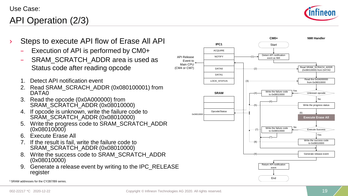### API Operation (2/3)



- Steps to execute API flow of Erase All API
	- Execution of API is performed by CM0+
	- SRAM\_SCRATCH\_ADDR area is used as Status code after reading opcode
	- 1. Detect API notification event
	- 2. Read SRAM\_SCRACH\_ADDR (0x080100001) from DATA0
	- 3. Read the opcode (0x0A000000) from SRAM\_SCRATCH\_ADDR (0x08010000)
	- 4. If opcode is unknown, write the failure code to SRAM\_SCRATCH\_ADDR (0x08010000)
	- 5. Write the progress code to SRAM\_SCRATCH\_ADDR (0x08010000)
	- 6. Execute Erase All
	- 7. If the result is fail, write the failure code to SRAM\_SCRATCH\_ADDR (0x08010000)
	- 8. Write the success code to SRAM\_SCRATCH\_ADDR (0x08010000)
	- 9. Generate a release event by writing to the IPC\_RELEASE register



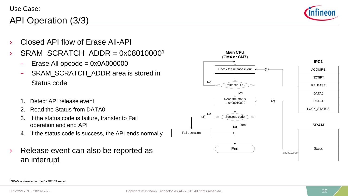### API Operation (3/3)



- Closed API flow of Frase All-API
- $\rightarrow$  SRAM SCRATCH ADDR = 0x080100001
	- $-$  Erase All opcode = 0x0A000000
	- SRAM\_SCRATCH\_ADDR area is stored in Status code
	- 1. Detect API release event
	- 2. Read the Status from DATA0
	- 3. If the status code is failure, transfer to Fail operation and end API
	- 4. If the status code is success, the API ends normally
- Release event can also be reported as an interrupt

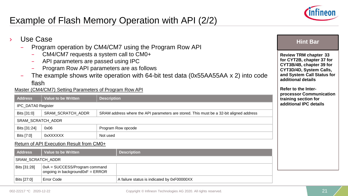

### Example of Flash Memory Operation with API (2/2)

Bits [27:0] Error Code A failure status is indicated by 0xF00000XX

| Use Case<br>Program operation by CM4/CM7 using the Program Row API<br>The example shows write operation with 64-bit test data (0x55AA55AA x 2) into code<br>-<br>flash | <b>Hint Bar</b><br><b>Review TRM chapter 33</b><br>for CYT2B, chapter 37 for<br>CYT3B/4B, chapter 39 for<br>CYT3D/4D, System Calls,<br>and System Call Status for<br>additional details<br><b>Refer to the Inter-</b> |                    |                                                                                         |                                                 |  |
|------------------------------------------------------------------------------------------------------------------------------------------------------------------------|-----------------------------------------------------------------------------------------------------------------------------------------------------------------------------------------------------------------------|--------------------|-----------------------------------------------------------------------------------------|-------------------------------------------------|--|
| <b>Address</b>                                                                                                                                                         | Master (CM4/CM7) Setting Parameters of Program Row API<br><b>Value to be Written</b>                                                                                                                                  | <b>Description</b> |                                                                                         | processor Communication<br>training section for |  |
| IPC_DATA0 Register                                                                                                                                                     |                                                                                                                                                                                                                       |                    |                                                                                         | additional IPC details                          |  |
| Bits [31:0]                                                                                                                                                            | <b>SRAM SCRATCH ADDR</b>                                                                                                                                                                                              |                    | SRAM address where the API parameters are stored. This must be a 32-bit aligned address |                                                 |  |
|                                                                                                                                                                        | SRAM_SCRATCH_ADDR                                                                                                                                                                                                     |                    |                                                                                         |                                                 |  |
| Bits [31:24]                                                                                                                                                           | 0x06                                                                                                                                                                                                                  |                    | Program Row opcode                                                                      |                                                 |  |
| Bits [7:0]                                                                                                                                                             | 0xXXXXXX                                                                                                                                                                                                              | Not used           |                                                                                         |                                                 |  |
|                                                                                                                                                                        | Return of API Execution Result from CM0+                                                                                                                                                                              |                    |                                                                                         |                                                 |  |
| <b>Address</b>                                                                                                                                                         | <b>Value to be Written</b>                                                                                                                                                                                            |                    | <b>Description</b>                                                                      |                                                 |  |
| SRAM_SCRATCH_ADDR                                                                                                                                                      |                                                                                                                                                                                                                       |                    |                                                                                         |                                                 |  |
| Bits [31:28]                                                                                                                                                           | 0xA = SUCCESS/Program command<br>ongoing in background $0xF = ERROR$                                                                                                                                                  |                    |                                                                                         |                                                 |  |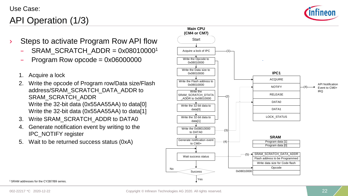

### API Operation (1/3)

- Steps to activate Program Row API flow
	- SRAM\_SCRATCH\_ADDR =  $0x080100001$
	- Program Row opcode =  $0x06000000$
	- 1. Acquire a lock
	- 2. Write the opcode of Program row/Data size/Flash address/SRAM\_SCRATCH\_DATA\_ADDR to SRAM\_SCRATCH\_ADDR Write the 32-bit data (0x55AA55AA) to data[0] Write the 32-bit data (0x55AA55AA) to data[1]
	- 3. Write SRAM\_SCRATCH\_ADDR to DATA0
	- 4. Generate notification event by writing to the IPC\_NOTIFY register
	- 5. Wait to be returned success status (0xA)



1 SRAM addresses for the CY2B7/B9 series.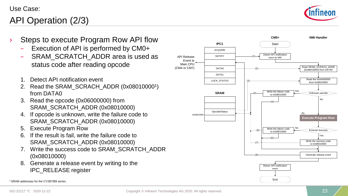

### API Operation (2/3)

- Steps to execute Program Row API flow
	- Execution of API is performed by CM0+
	- SRAM\_SCRATCH\_ADDR area is used as status code after reading opcode
	- 1. Detect API notification event
	- 2. Read the SRAM\_SCRACH\_ADDR (0x08010000<sup>1</sup>) from DATA0
	- 3. Read the opcode (0x06000000) from SRAM\_SCRATCH\_ADDR (0x08010000)
	- 4. If opcode is unknown, write the failure code to SRAM\_SCRATCH\_ADDR (0x08010000)
	- 5. Execute Program Row
	- 6. If the result is fail, write the failure code to SRAM\_SCRATCH\_ADDR (0x08010000)
	- 7. Write the success code to SRAM\_SCRATCH\_ADDR (0x08010000)
	- 8. Generate a release event by writing to the IPC\_RELEASE register



<sup>1</sup> SRAM addresses for the CY2B7/B9 series.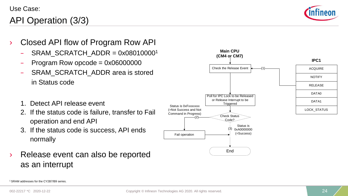### API Operation (3/3)

![](_page_23_Picture_2.jpeg)

- › Closed API flow of Program Row API
	- $SRAM$  SCRATCH ADDR = 0x08010000<sup>1</sup>
	- Program Row opcode =  $0x06000000$
	- SRAM\_SCRATCH\_ADDR area is stored in Status code
	- 1. Detect API release event
	- 2. If the status code is failure, transfer to Fail operation and end API
	- 3. If the status code is success, API ends normally
- Release event can also be reported as an interrupt

![](_page_23_Figure_11.jpeg)

1 SRAM addresses for the CY2B7/B9 series.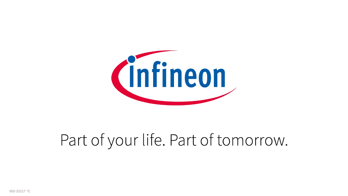![](_page_24_Picture_0.jpeg)

# Part of your life. Part of tomorrow.